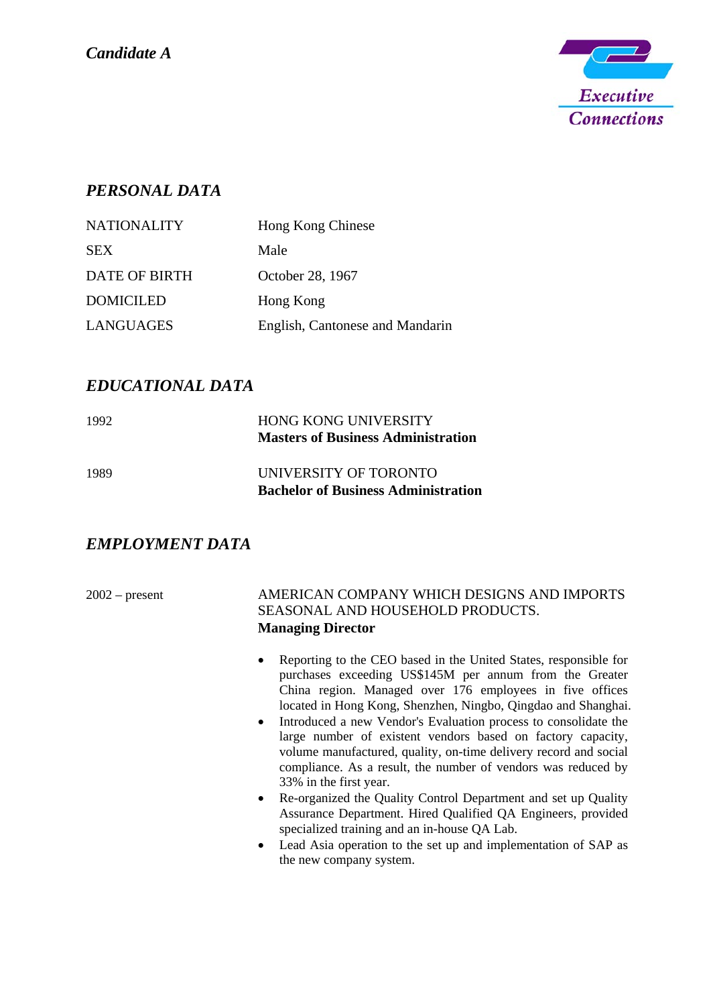

## *PERSONAL DATA*

| <b>NATIONALITY</b> | Hong Kong Chinese               |
|--------------------|---------------------------------|
| <b>SEX</b>         | Male                            |
| DATE OF BIRTH      | October 28, 1967                |
| <b>DOMICILED</b>   | Hong Kong                       |
| <b>LANGUAGES</b>   | English, Cantonese and Mandarin |

## *EDUCATIONAL DATA*

| 1992 | <b>HONG KONG UNIVERSITY</b>                |
|------|--------------------------------------------|
|      | <b>Masters of Business Administration</b>  |
| 1989 | UNIVERSITY OF TORONTO                      |
|      | <b>Bachelor of Business Administration</b> |

## *EMPLOYMENT DATA*

## 2002 – present AMERICAN COMPANY WHICH DESIGNS AND IMPORTS SEASONAL AND HOUSEHOLD PRODUCTS. **Managing Director**

- Reporting to the CEO based in the United States, responsible for purchases exceeding US\$145M per annum from the Greater China region. Managed over 176 employees in five offices located in Hong Kong, Shenzhen, Ningbo, Qingdao and Shanghai.
- Introduced a new Vendor's Evaluation process to consolidate the large number of existent vendors based on factory capacity, volume manufactured, quality, on-time delivery record and social compliance. As a result, the number of vendors was reduced by 33% in the first year.
- Re-organized the Quality Control Department and set up Quality Assurance Department. Hired Qualified QA Engineers, provided specialized training and an in-house QA Lab.
- Lead Asia operation to the set up and implementation of SAP as the new company system.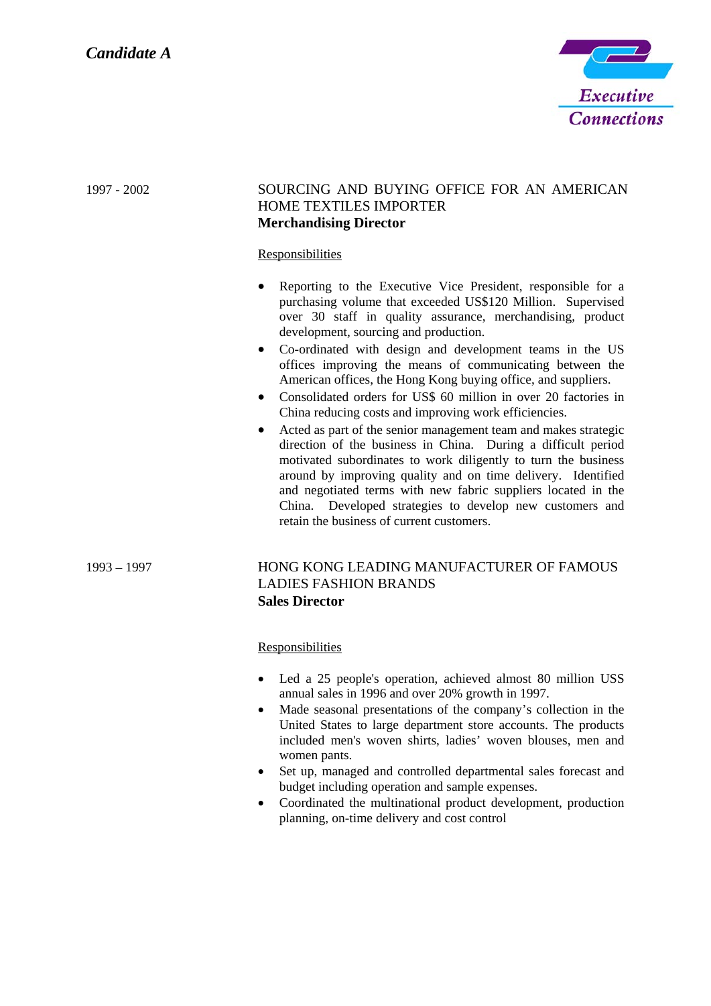

| 1997 - 2002   | SOURCING AND BUYING OFFICE FOR AN AMERICAN<br><b>HOME TEXTILES IMPORTER</b><br><b>Merchandising Director</b><br><b>Responsibilities</b><br>Reporting to the Executive Vice President, responsible for a<br>purchasing volume that exceeded US\$120 Million. Supervised<br>over 30 staff in quality assurance, merchandising, product<br>development, sourcing and production.<br>Co-ordinated with design and development teams in the US<br>$\bullet$<br>offices improving the means of communicating between the<br>American offices, the Hong Kong buying office, and suppliers.<br>Consolidated orders for US\$ 60 million in over 20 factories in<br>$\bullet$<br>China reducing costs and improving work efficiencies.<br>Acted as part of the senior management team and makes strategic<br>direction of the business in China. During a difficult period<br>motivated subordinates to work diligently to turn the business<br>around by improving quality and on time delivery. Identified<br>and negotiated terms with new fabric suppliers located in the<br>China. Developed strategies to develop new customers and<br>retain the business of current customers. |
|---------------|------------------------------------------------------------------------------------------------------------------------------------------------------------------------------------------------------------------------------------------------------------------------------------------------------------------------------------------------------------------------------------------------------------------------------------------------------------------------------------------------------------------------------------------------------------------------------------------------------------------------------------------------------------------------------------------------------------------------------------------------------------------------------------------------------------------------------------------------------------------------------------------------------------------------------------------------------------------------------------------------------------------------------------------------------------------------------------------------------------------------------------------------------------------------------|
| $1993 - 1997$ | HONG KONG LEADING MANUFACTURER OF FAMOUS<br><b>LADIES FASHION BRANDS</b><br><b>Sales Director</b>                                                                                                                                                                                                                                                                                                                                                                                                                                                                                                                                                                                                                                                                                                                                                                                                                                                                                                                                                                                                                                                                            |

2

**Responsibilities** 

- Led a 25 people's operation, achieved almost 80 million USS annual sales in 1996 and over 20% growth in 1997.
- Made seasonal presentations of the company's collection in the United States to large department store accounts. The products included men's woven shirts, ladies' woven blouses, men and women pants.
- Set up, managed and controlled departmental sales forecast and budget including operation and sample expenses.
- Coordinated the multinational product development, production planning, on-time delivery and cost control